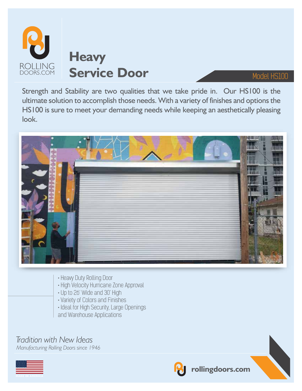

Strength and Stability are two qualities that we take pride in. Our HS100 is the ultimate solution to accomplish those needs. With a variety of finishes and options the HS100 is sure to meet your demanding needs while keeping an aesthetically pleasing look.



- Heavy Duty Rolling Door
- High Velocity Hurricane Zone Approval
- Up to 26' Wide and 30' High
- Variety of Colors and Finishes
- Ideal for High Security, Large Openings and Warehouse Applications

### *Tradition with New Ideas*

*Manufacturing Rolling Doors since 1946*